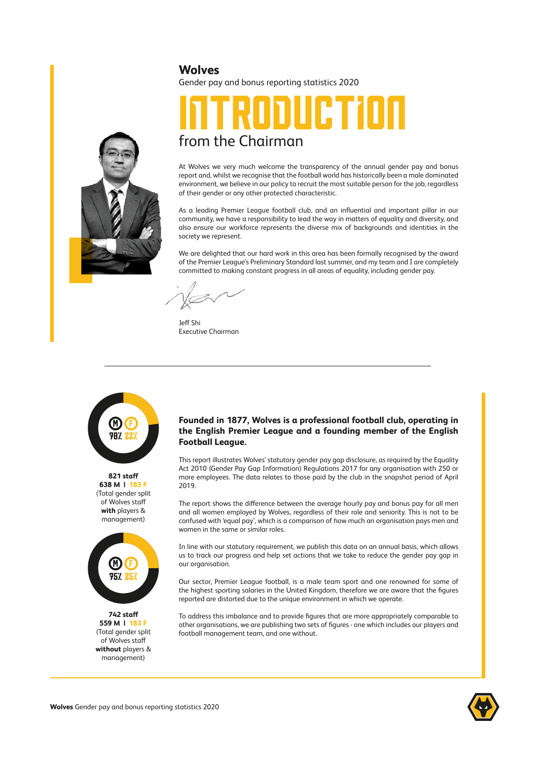## **Wolves**

Gender pay and bonus reporting statistics 2020



# InTROdUCTiON from the Chairman

At Wolves we very much welcome the transparency of the annual gender pay and bonus report and, whilst we recognise that the football world has historically been a male dominated environment, we believe in our policy to recruit the most suitable person for the job, regardless of their gender or any other protected characteristic.

As a leading Premier League football club, and an influential and important pillar in our community, we have a responsibility to lead the way in matters of equality and diversity, and also ensure our workforce represents the diverse mix of backgrounds and identities in the society we represent.

We are delighted that our hard work in this area has been formally recognised by the award of the Premier League's Preliminary Standard last summer, and my team and I are completely committed to making constant progress in all areas of equality, including gender pay.

Jeff Shi Executive Chairman



**821 staff 638 M | 183 F**  (Total gender split of Wolves staff **with** players & management)



**742 staff 559 M | 183 F**  (Total gender split of Wolves staff **without** players & management)

### **Founded in 1877, Wolves is a professional football club, operating in the English Premier League and a founding member of the English Football League.**

This report illustrates Wolves' statutory gender pay gap disclosure, as required by the Equality Act 2010 (Gender Pay Gap Information) Regulations 2017 for any organisation with 250 or more employees. The data relates to those paid by the club in the snapshot period of April 2019.

The report shows the difference between the average hourly pay and bonus pay for all men and all women employed by Wolves, regardless of their role and seniority. This is not to be confused with 'equal pay', which is a comparison of how much an organisation pays men and women in the same or similar roles.

In line with our statutory requirement, we publish this data on an annual basis, which allows us to track our progress and help set actions that we take to reduce the gender pay gap in our organisation.

Our sector, Premier League football, is a male team sport and one renowned for some of the highest sporting salaries in the United Kingdom, therefore we are aware that the figures reported are distorted due to the unique environment in which we operate.

To address this imbalance and to provide figures that are more appropriately comparable to other organisations, we are publishing two sets of figures - one which includes our players and football management team, and one without.